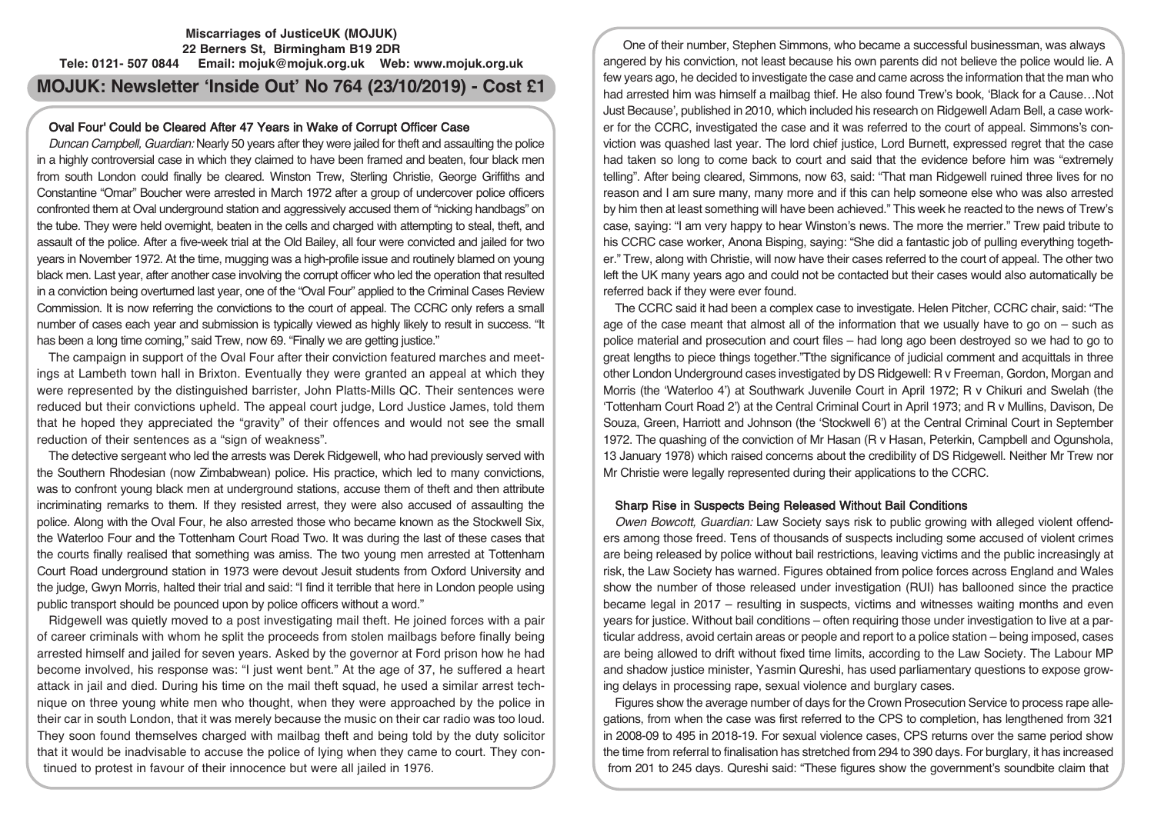# **Miscarriages of JusticeUK (MOJUK) 22 Berners St, Birmingham B19 2DR Tele: 0121- 507 0844 Email: mojuk@mojuk.org.uk Web: www.mojuk.org.uk**

# **MOJUK: Newsletter 'Inside Out' No 764 (23/10/2019) - Cost £1**

# Oval Four' Could be Cleared After 47 Years in Wake of Corrupt Officer Case

Duncan Campbell, Guardian: Nearly 50 years after they were jailed for theft and assaulting the police in a highly controversial case in which they claimed to have been framed and beaten, four black men from south London could finally be cleared. Winston Trew, Sterling Christie, George Griffiths and Constantine "Omar" Boucher were arrested in March 1972 after a group of undercover police officers confronted them at Oval underground station and aggressively accused them of "nicking handbags" on the tube. They were held overnight, beaten in the cells and charged with attempting to steal, theft, and assault of the police. After a five-week trial at the Old Bailey, all four were convicted and jailed for two years in November 1972. At the time, mugging was a high-profile issue and routinely blamed on young black men. Last year, after another case involving the corrupt officer who led the operation that resulted in a conviction being overturned last year, one of the "Oval Four" applied to the Criminal Cases Review Commission. It is now referring the convictions to the court of appeal. The CCRC only refers a small number of cases each year and submission is typically viewed as highly likely to result in success. "It has been a long time coming," said Trew, now 69. "Finally we are getting justice."

The campaign in support of the Oval Four after their conviction featured marches and meetings at Lambeth town hall in Brixton. Eventually they were granted an appeal at which they were represented by the distinguished barrister, John Platts-Mills QC. Their sentences were reduced but their convictions upheld. The appeal court judge, Lord Justice James, told them that he hoped they appreciated the "gravity" of their offences and would not see the small reduction of their sentences as a "sign of weakness".

The detective sergeant who led the arrests was Derek Ridgewell, who had previously served with the Southern Rhodesian (now Zimbabwean) police. His practice, which led to many convictions, was to confront young black men at underground stations, accuse them of theft and then attribute incriminating remarks to them. If they resisted arrest, they were also accused of assaulting the police. Along with the Oval Four, he also arrested those who became known as the Stockwell Six, the Waterloo Four and the Tottenham Court Road Two. It was during the last of these cases that the courts finally realised that something was amiss. The two young men arrested at Tottenham Court Road underground station in 1973 were devout Jesuit students from Oxford University and the judge, Gwyn Morris, halted their trial and said: "I find it terrible that here in London people using public transport should be pounced upon by police officers without a word."

Ridgewell was quietly moved to a post investigating mail theft. He joined forces with a pair of career criminals with whom he split the proceeds from stolen mailbags before finally being arrested himself and jailed for seven years. Asked by the governor at Ford prison how he had become involved, his response was: "I just went bent." At the age of 37, he suffered a heart attack in jail and died. During his time on the mail theft squad, he used a similar arrest technique on three young white men who thought, when they were approached by the police in their car in south London, that it was merely because the music on their car radio was too loud. They soon found themselves charged with mailbag theft and being told by the duty solicitor that it would be inadvisable to accuse the police of lying when they came to court. They continued to protest in favour of their innocence but were all jailed in 1976.

One of their number, Stephen Simmons, who became a successful businessman, was always angered by his conviction, not least because his own parents did not believe the police would lie. A few years ago, he decided to investigate the case and came across the information that the man who had arrested him was himself a mailbag thief. He also found Trew's book, 'Black for a Cause…Not Just Because', published in 2010, which included his research on Ridgewell Adam Bell, a case worker for the CCRC, investigated the case and it was referred to the court of appeal. Simmons's conviction was quashed last year. The lord chief justice, Lord Burnett, expressed regret that the case had taken so long to come back to court and said that the evidence before him was "extremely telling". After being cleared, Simmons, now 63, said: "That man Ridgewell ruined three lives for no reason and I am sure many, many more and if this can help someone else who was also arrested by him then at least something will have been achieved." This week he reacted to the news of Trew's case, saying: "I am very happy to hear Winston's news. The more the merrier." Trew paid tribute to his CCRC case worker, Anona Bisping, saying: "She did a fantastic job of pulling everything together." Trew, along with Christie, will now have their cases referred to the court of appeal. The other two left the UK many years ago and could not be contacted but their cases would also automatically be referred back if they were ever found.

The CCRC said it had been a complex case to investigate. Helen Pitcher, CCRC chair, said: "The age of the case meant that almost all of the information that we usually have to go on – such as police material and prosecution and court files – had long ago been destroyed so we had to go to great lengths to piece things together."Tthe significance of judicial comment and acquittals in three other London Underground cases investigated by DS Ridgewell: R v Freeman, Gordon, Morgan and Morris (the 'Waterloo 4') at Southwark Juvenile Court in April 1972; R v Chikuri and Swelah (the 'Tottenham Court Road 2') at the Central Criminal Court in April 1973; and R v Mullins, Davison, De Souza, Green, Harriott and Johnson (the 'Stockwell 6') at the Central Criminal Court in September 1972. The quashing of the conviction of Mr Hasan (R v Hasan, Peterkin, Campbell and Ogunshola, 13 January 1978) which raised concerns about the credibility of DS Ridgewell. Neither Mr Trew nor Mr Christie were legally represented during their applications to the CCRC.

# Sharp Rise in Suspects Being Released Without Bail Conditions

Owen Bowcott, Guardian: Law Society says risk to public growing with alleged violent offenders among those freed. Tens of thousands of suspects including some accused of violent crimes are being released by police without bail restrictions, leaving victims and the public increasingly at risk, the Law Society has warned. Figures obtained from police forces across England and Wales show the number of those released under investigation (RUI) has ballooned since the practice became legal in 2017 – resulting in suspects, victims and witnesses waiting months and even years for justice. Without bail conditions – often requiring those under investigation to live at a particular address, avoid certain areas or people and report to a police station – being imposed, cases are being allowed to drift without fixed time limits, according to the Law Society. The Labour MP and shadow justice minister, Yasmin Qureshi, has used parliamentary questions to expose growing delays in processing rape, sexual violence and burglary cases.

Figures show the average number of days for the Crown Prosecution Service to process rape allegations, from when the case was first referred to the CPS to completion, has lengthened from 321 in 2008-09 to 495 in 2018-19. For sexual violence cases, CPS returns over the same period show the time from referral to finalisation has stretched from 294 to 390 days. For burglary, it has increased from 201 to 245 days. Qureshi said: "These figures show the government's soundbite claim that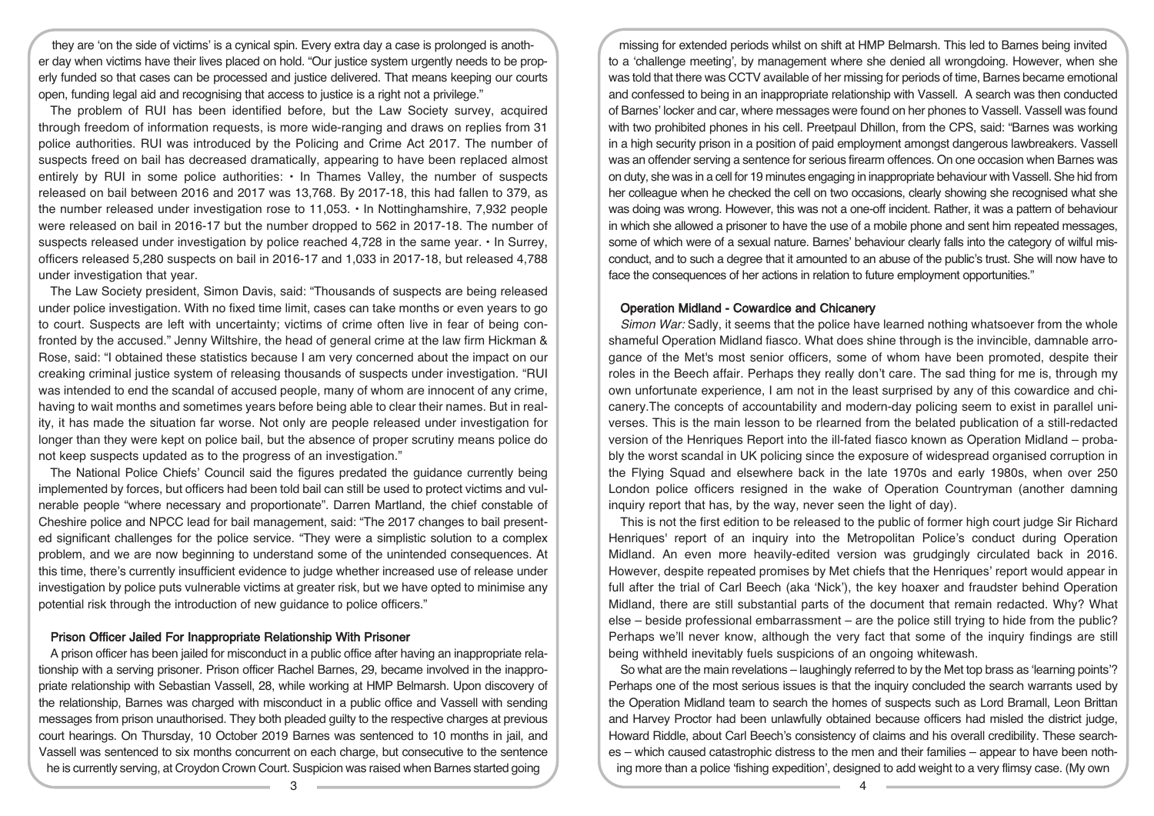they are 'on the side of victims' is a cynical spin. Every extra day a case is prolonged is another day when victims have their lives placed on hold. "Our justice system urgently needs to be properly funded so that cases can be processed and justice delivered. That means keeping our courts open, funding legal aid and recognising that access to justice is a right not a privilege."

The problem of RUI has been identified before, but the Law Society survey, acquired through freedom of information requests, is more wide-ranging and draws on replies from 31 police authorities. RUI was introduced by the Policing and Crime Act 2017. The number of suspects freed on bail has decreased dramatically, appearing to have been replaced almost entirely by RUI in some police authorities: • In Thames Valley, the number of suspects released on bail between 2016 and 2017 was 13,768. By 2017-18, this had fallen to 379, as the number released under investigation rose to 11,053. • In Nottinghamshire, 7,932 people were released on bail in 2016-17 but the number dropped to 562 in 2017-18. The number of suspects released under investigation by police reached 4,728 in the same year. • In Surrey, officers released 5,280 suspects on bail in 2016-17 and 1,033 in 2017-18, but released 4,788 under investigation that year.

The Law Society president, Simon Davis, said: "Thousands of suspects are being released under police investigation. With no fixed time limit, cases can take months or even years to go to court. Suspects are left with uncertainty; victims of crime often live in fear of being confronted by the accused." Jenny Wiltshire, the head of general crime at the law firm Hickman & Rose, said: "I obtained these statistics because I am very concerned about the impact on our creaking criminal justice system of releasing thousands of suspects under investigation. "RUI was intended to end the scandal of accused people, many of whom are innocent of any crime, having to wait months and sometimes years before being able to clear their names. But in reality, it has made the situation far worse. Not only are people released under investigation for longer than they were kept on police bail, but the absence of proper scrutiny means police do not keep suspects updated as to the progress of an investigation."

The National Police Chiefs' Council said the figures predated the guidance currently being implemented by forces, but officers had been told bail can still be used to protect victims and vulnerable people "where necessary and proportionate". Darren Martland, the chief constable of Cheshire police and NPCC lead for bail management, said: "The 2017 changes to bail presented significant challenges for the police service. "They were a simplistic solution to a complex problem, and we are now beginning to understand some of the unintended consequences. At this time, there's currently insufficient evidence to judge whether increased use of release under investigation by police puts vulnerable victims at greater risk, but we have opted to minimise any potential risk through the introduction of new guidance to police officers."

#### Prison Officer Jailed For Inappropriate Relationship With Prisoner

A prison officer has been jailed for misconduct in a public office after having an inappropriate relationship with a serving prisoner. Prison officer Rachel Barnes, 29, became involved in the inappropriate relationship with Sebastian Vassell, 28, while working at HMP Belmarsh. Upon discovery of the relationship, Barnes was charged with misconduct in a public office and Vassell with sending messages from prison unauthorised. They both pleaded guilty to the respective charges at previous court hearings. On Thursday, 10 October 2019 Barnes was sentenced to 10 months in jail, and Vassell was sentenced to six months concurrent on each charge, but consecutive to the sentence he is currently serving, at Croydon Crown Court. Suspicion was raised when Barnes started going

missing for extended periods whilst on shift at HMP Belmarsh. This led to Barnes being invited to a 'challenge meeting', by management where she denied all wrongdoing. However, when she was told that there was CCTV available of her missing for periods of time, Barnes became emotional and confessed to being in an inappropriate relationship with Vassell. A search was then conducted of Barnes' locker and car, where messages were found on her phones to Vassell. Vassell was found with two prohibited phones in his cell. Preetpaul Dhillon, from the CPS, said: "Barnes was working in a high security prison in a position of paid employment amongst dangerous lawbreakers. Vassell was an offender serving a sentence for serious firearm offences. On one occasion when Barnes was on duty, she was in a cell for 19 minutes engaging in inappropriate behaviour with Vassell. She hid from her colleague when he checked the cell on two occasions, clearly showing she recognised what she was doing was wrong. However, this was not a one-off incident. Rather, it was a pattern of behaviour in which she allowed a prisoner to have the use of a mobile phone and sent him repeated messages, some of which were of a sexual nature. Barnes' behaviour clearly falls into the category of wilful misconduct, and to such a degree that it amounted to an abuse of the public's trust. She will now have to face the consequences of her actions in relation to future employment opportunities."

#### Operation Midland - Cowardice and Chicanery

Simon War: Sadly, it seems that the police have learned nothing whatsoever from the whole shameful Operation Midland fiasco. What does shine through is the invincible, damnable arrogance of the Met's most senior officers, some of whom have been promoted, despite their roles in the Beech affair. Perhaps they really don't care. The sad thing for me is, through my own unfortunate experience, I am not in the least surprised by any of this cowardice and chicanery.The concepts of accountability and modern-day policing seem to exist in parallel universes. This is the main lesson to be rlearned from the belated publication of a still-redacted version of the Henriques Report into the ill-fated fiasco known as Operation Midland – probably the worst scandal in UK policing since the exposure of widespread organised corruption in the Flying Squad and elsewhere back in the late 1970s and early 1980s, when over 250 London police officers resigned in the wake of Operation Countryman (another damning inquiry report that has, by the way, never seen the light of day).

This is not the first edition to be released to the public of former high court judge Sir Richard Henriques' report of an inquiry into the Metropolitan Police's conduct during Operation Midland. An even more heavily-edited version was grudgingly circulated back in 2016. However, despite repeated promises by Met chiefs that the Henriques' report would appear in full after the trial of Carl Beech (aka 'Nick'), the key hoaxer and fraudster behind Operation Midland, there are still substantial parts of the document that remain redacted. Why? What else – beside professional embarrassment – are the police still trying to hide from the public? Perhaps we'll never know, although the very fact that some of the inquiry findings are still being withheld inevitably fuels suspicions of an ongoing whitewash.

So what are the main revelations – laughingly referred to by the Met top brass as 'learning points'? Perhaps one of the most serious issues is that the inquiry concluded the search warrants used by the Operation Midland team to search the homes of suspects such as Lord Bramall, Leon Brittan and Harvey Proctor had been unlawfully obtained because officers had misled the district judge, Howard Riddle, about Carl Beech's consistency of claims and his overall credibility. These searches – which caused catastrophic distress to the men and their families – appear to have been nothing more than a police 'fishing expedition', designed to add weight to a very flimsy case. (My own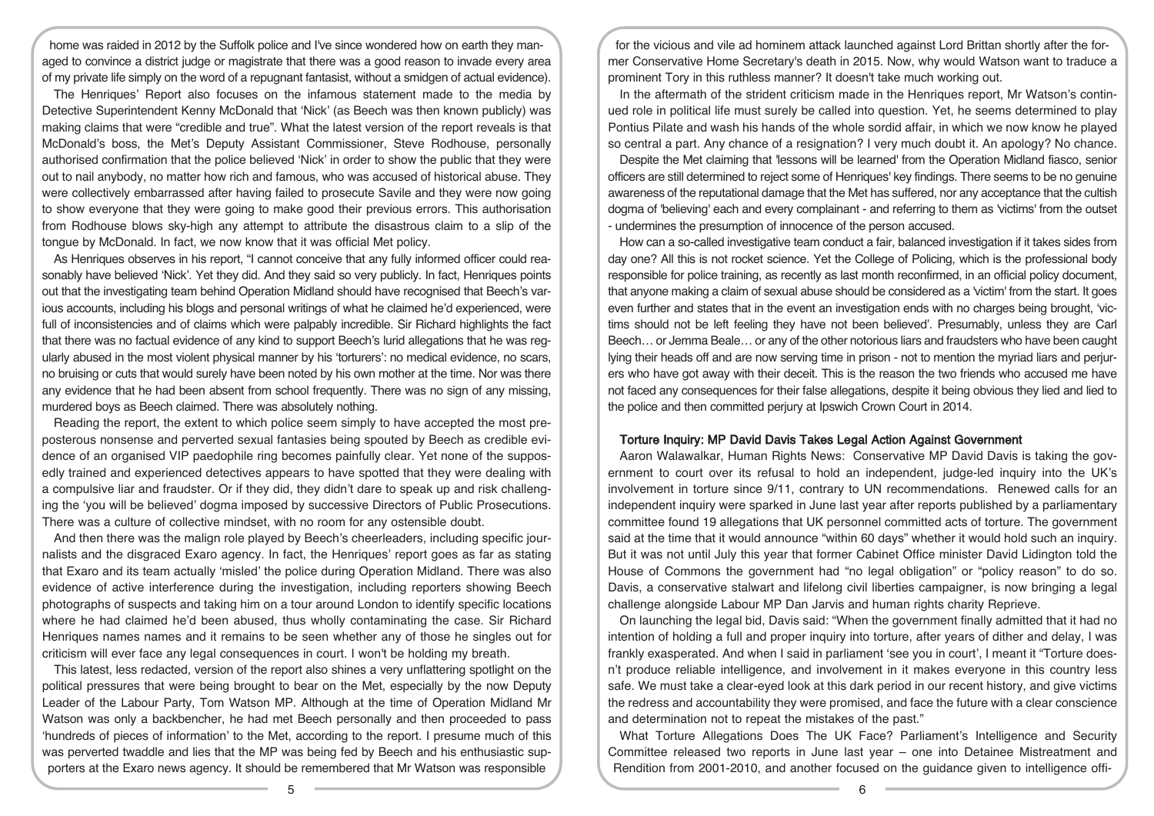home was raided in 2012 by the Suffolk police and I've since wondered how on earth they managed to convince a district judge or magistrate that there was a good reason to invade every area of my private life simply on the word of a repugnant fantasist, without a smidgen of actual evidence).

The Henriques' Report also focuses on the infamous statement made to the media by Detective Superintendent Kenny McDonald that 'Nick' (as Beech was then known publicly) was making claims that were "credible and true". What the latest version of the report reveals is that McDonald's boss, the Met's Deputy Assistant Commissioner, Steve Rodhouse, personally authorised confirmation that the police believed 'Nick' in order to show the public that they were out to nail anybody, no matter how rich and famous, who was accused of historical abuse. They were collectively embarrassed after having failed to prosecute Savile and they were now going to show everyone that they were going to make good their previous errors. This authorisation from Rodhouse blows sky-high any attempt to attribute the disastrous claim to a slip of the tongue by McDonald. In fact, we now know that it was official Met policy.

As Henriques observes in his report, "I cannot conceive that any fully informed officer could reasonably have believed 'Nick'. Yet they did. And they said so very publicly. In fact, Henriques points out that the investigating team behind Operation Midland should have recognised that Beech's various accounts, including his blogs and personal writings of what he claimed he'd experienced, were full of inconsistencies and of claims which were palpably incredible. Sir Richard highlights the fact that there was no factual evidence of any kind to support Beech's lurid allegations that he was regularly abused in the most violent physical manner by his 'torturers': no medical evidence, no scars, no bruising or cuts that would surely have been noted by his own mother at the time. Nor was there any evidence that he had been absent from school frequently. There was no sign of any missing, murdered boys as Beech claimed. There was absolutely nothing.

Reading the report, the extent to which police seem simply to have accepted the most preposterous nonsense and perverted sexual fantasies being spouted by Beech as credible evidence of an organised VIP paedophile ring becomes painfully clear. Yet none of the supposedly trained and experienced detectives appears to have spotted that they were dealing with a compulsive liar and fraudster. Or if they did, they didn't dare to speak up and risk challenging the 'you will be believed' dogma imposed by successive Directors of Public Prosecutions. There was a culture of collective mindset, with no room for any ostensible doubt.

And then there was the malign role played by Beech's cheerleaders, including specific journalists and the disgraced Exaro agency. In fact, the Henriques' report goes as far as stating that Exaro and its team actually 'misled' the police during Operation Midland. There was also evidence of active interference during the investigation, including reporters showing Beech photographs of suspects and taking him on a tour around London to identify specific locations where he had claimed he'd been abused, thus wholly contaminating the case. Sir Richard Henriques names names and it remains to be seen whether any of those he singles out for criticism will ever face any legal consequences in court. I won't be holding my breath.

This latest, less redacted, version of the report also shines a very unflattering spotlight on the political pressures that were being brought to bear on the Met, especially by the now Deputy Leader of the Labour Party, Tom Watson MP. Although at the time of Operation Midland Mr Watson was only a backbencher, he had met Beech personally and then proceeded to pass 'hundreds of pieces of information' to the Met, according to the report. I presume much of this was perverted twaddle and lies that the MP was being fed by Beech and his enthusiastic supporters at the Exaro news agency. It should be remembered that Mr Watson was responsible

for the vicious and vile ad hominem attack launched against Lord Brittan shortly after the former Conservative Home Secretary's death in 2015. Now, why would Watson want to traduce a prominent Tory in this ruthless manner? It doesn't take much working out.

In the aftermath of the strident criticism made in the Henriques report, Mr Watson's continued role in political life must surely be called into question. Yet, he seems determined to play Pontius Pilate and wash his hands of the whole sordid affair, in which we now know he played so central a part. Any chance of a resignation? I very much doubt it. An apology? No chance.

Despite the Met claiming that 'lessons will be learned' from the Operation Midland fiasco, senior officers are still determined to reject some of Henriques' key findings. There seems to be no genuine awareness of the reputational damage that the Met has suffered, nor any acceptance that the cultish dogma of 'believing' each and every complainant - and referring to them as 'victims' from the outset - undermines the presumption of innocence of the person accused.

How can a so-called investigative team conduct a fair, balanced investigation if it takes sides from day one? All this is not rocket science. Yet the College of Policing, which is the professional body responsible for police training, as recently as last month reconfirmed, in an official policy document, that anyone making a claim of sexual abuse should be considered as a 'victim' from the start. It goes even further and states that in the event an investigation ends with no charges being brought, 'victims should not be left feeling they have not been believed'. Presumably, unless they are Carl Beech… or Jemma Beale… or any of the other notorious liars and fraudsters who have been caught lying their heads off and are now serving time in prison - not to mention the myriad liars and perjurers who have got away with their deceit. This is the reason the two friends who accused me have not faced any consequences for their false allegations, despite it being obvious they lied and lied to the police and then committed perjury at Ipswich Crown Court in 2014.

#### Torture Inquiry: MP David Davis Takes Legal Action Against Government

Aaron Walawalkar, Human Rights News: Conservative MP David Davis is taking the government to court over its refusal to hold an independent, judge-led inquiry into the UK's involvement in torture since 9/11, contrary to UN recommendations. Renewed calls for an independent inquiry were sparked in June last year after reports published by a parliamentary committee found 19 allegations that UK personnel committed acts of torture. The government said at the time that it would announce "within 60 days" whether it would hold such an inquiry. But it was not until July this year that former Cabinet Office minister David Lidington told the House of Commons the government had "no legal obligation" or "policy reason" to do so. Davis, a conservative stalwart and lifelong civil liberties campaigner, is now bringing a legal challenge alongside Labour MP Dan Jarvis and human rights charity Reprieve.

On launching the legal bid, Davis said: "When the government finally admitted that it had no intention of holding a full and proper inquiry into torture, after years of dither and delay, I was frankly exasperated. And when I said in parliament 'see you in court', I meant it "Torture doesn't produce reliable intelligence, and involvement in it makes everyone in this country less safe. We must take a clear-eyed look at this dark period in our recent history, and give victims the redress and accountability they were promised, and face the future with a clear conscience and determination not to repeat the mistakes of the past."

What Torture Allegations Does The UK Face? Parliament's Intelligence and Security Committee released two reports in June last year – one into Detainee Mistreatment and Rendition from 2001-2010, and another focused on the guidance given to intelligence offi-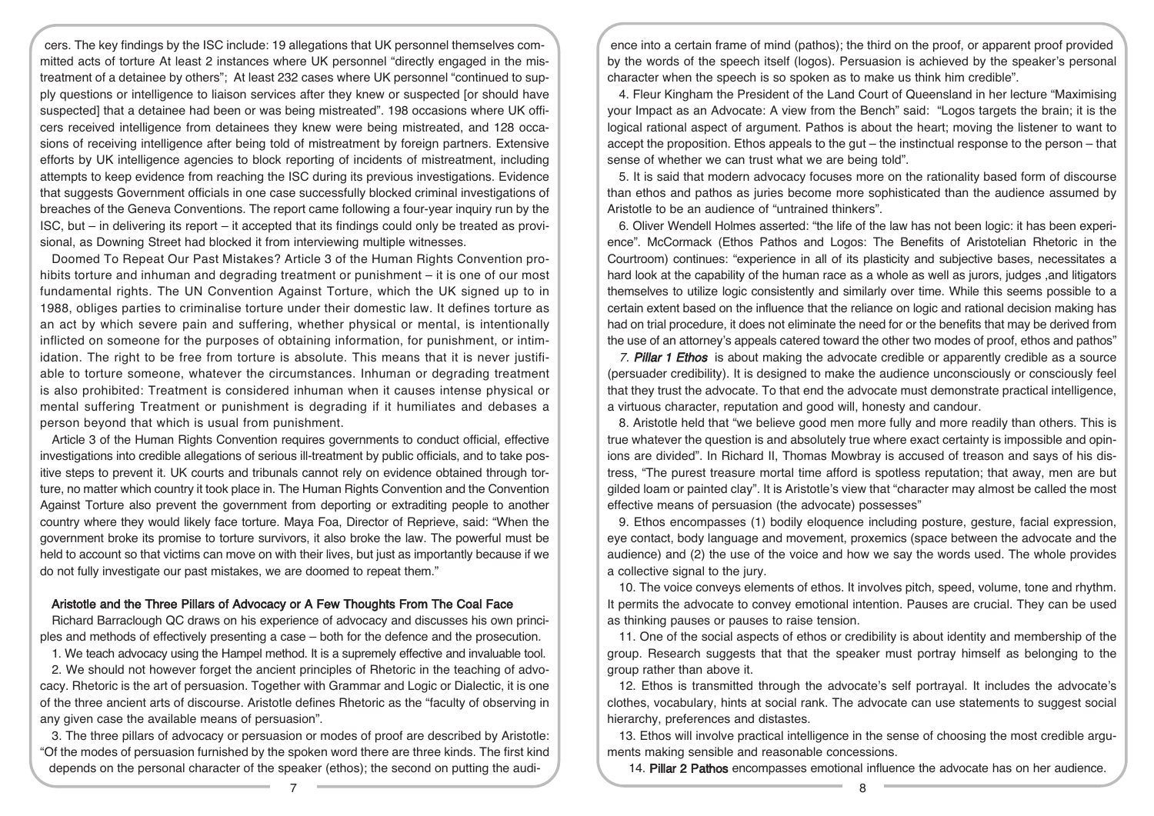cers. The key findings by the ISC include: 19 allegations that UK personnel themselves committed acts of torture At least 2 instances where UK personnel "directly engaged in the mistreatment of a detainee by others"; At least 232 cases where UK personnel "continued to supply questions or intelligence to liaison services after they knew or suspected [or should have suspected] that a detainee had been or was being mistreated". 198 occasions where UK officers received intelligence from detainees they knew were being mistreated, and 128 occasions of receiving intelligence after being told of mistreatment by foreign partners. Extensive efforts by UK intelligence agencies to block reporting of incidents of mistreatment, including attempts to keep evidence from reaching the ISC during its previous investigations. Evidence that suggests Government officials in one case successfully blocked criminal investigations of breaches of the Geneva Conventions. The report came following a four-year inquiry run by the ISC, but – in delivering its report – it accepted that its findings could only be treated as provisional, as Downing Street had blocked it from interviewing multiple witnesses.

Doomed To Repeat Our Past Mistakes? Article 3 of the Human Rights Convention prohibits torture and inhuman and degrading treatment or punishment – it is one of our most fundamental rights. The UN Convention Against Torture, which the UK signed up to in 1988, obliges parties to criminalise torture under their domestic law. It defines torture as an act by which severe pain and suffering, whether physical or mental, is intentionally inflicted on someone for the purposes of obtaining information, for punishment, or intimidation. The right to be free from torture is absolute. This means that it is never justifiable to torture someone, whatever the circumstances. Inhuman or degrading treatment is also prohibited: Treatment is considered inhuman when it causes intense physical or mental suffering Treatment or punishment is degrading if it humiliates and debases a person beyond that which is usual from punishment.

Article 3 of the Human Rights Convention requires governments to conduct official, effective investigations into credible allegations of serious ill-treatment by public officials, and to take positive steps to prevent it. UK courts and tribunals cannot rely on evidence obtained through torture, no matter which country it took place in. The Human Rights Convention and the Convention Against Torture also prevent the government from deporting or extraditing people to another country where they would likely face torture. Maya Foa, Director of Reprieve, said: "When the government broke its promise to torture survivors, it also broke the law. The powerful must be held to account so that victims can move on with their lives, but just as importantly because if we do not fully investigate our past mistakes, we are doomed to repeat them."

### Aristotle and the Three Pillars of Advocacy or A Few Thoughts From The Coal Face

Richard Barraclough QC draws on his experience of advocacy and discusses his own principles and methods of effectively presenting a case – both for the defence and the prosecution.

1. We teach advocacy using the Hampel method. It is a supremely effective and invaluable tool.

2. We should not however forget the ancient principles of Rhetoric in the teaching of advocacy. Rhetoric is the art of persuasion. Together with Grammar and Logic or Dialectic, it is one of the three ancient arts of discourse. Aristotle defines Rhetoric as the "faculty of observing in any given case the available means of persuasion".

3. The three pillars of advocacy or persuasion or modes of proof are described by Aristotle: "Of the modes of persuasion furnished by the spoken word there are three kinds. The first kind depends on the personal character of the speaker (ethos); the second on putting the audi-

ence into a certain frame of mind (pathos); the third on the proof, or apparent proof provided by the words of the speech itself (logos). Persuasion is achieved by the speaker's personal character when the speech is so spoken as to make us think him credible".

4. Fleur Kingham the President of the Land Court of Queensland in her lecture "Maximising your Impact as an Advocate: A view from the Bench" said: "Logos targets the brain; it is the logical rational aspect of argument. Pathos is about the heart; moving the listener to want to accept the proposition. Ethos appeals to the gut – the instinctual response to the person – that sense of whether we can trust what we are being told".

5. It is said that modern advocacy focuses more on the rationality based form of discourse than ethos and pathos as juries become more sophisticated than the audience assumed by Aristotle to be an audience of "untrained thinkers".

6. Oliver Wendell Holmes asserted: "the life of the law has not been logic: it has been experience". McCormack (Ethos Pathos and Logos: The Benefits of Aristotelian Rhetoric in the Courtroom) continues: "experience in all of its plasticity and subjective bases, necessitates a hard look at the capability of the human race as a whole as well as jurors, judges ,and litigators themselves to utilize logic consistently and similarly over time. While this seems possible to a certain extent based on the influence that the reliance on logic and rational decision making has had on trial procedure, it does not eliminate the need for or the benefits that may be derived from the use of an attorney's appeals catered toward the other two modes of proof, ethos and pathos"

7. Pillar 1 Ethos is about making the advocate credible or apparently credible as a source (persuader credibility). It is designed to make the audience unconsciously or consciously feel that they trust the advocate. To that end the advocate must demonstrate practical intelligence, a virtuous character, reputation and good will, honesty and candour.

8. Aristotle held that "we believe good men more fully and more readily than others. This is true whatever the question is and absolutely true where exact certainty is impossible and opinions are divided". In Richard II, Thomas Mowbray is accused of treason and says of his distress, "The purest treasure mortal time afford is spotless reputation; that away, men are but gilded loam or painted clay". It is Aristotle's view that "character may almost be called the most effective means of persuasion (the advocate) possesses"

9. Ethos encompasses (1) bodily eloquence including posture, gesture, facial expression, eye contact, body language and movement, proxemics (space between the advocate and the audience) and (2) the use of the voice and how we say the words used. The whole provides a collective signal to the jury.

10. The voice conveys elements of ethos. It involves pitch, speed, volume, tone and rhythm. It permits the advocate to convey emotional intention. Pauses are crucial. They can be used as thinking pauses or pauses to raise tension.

11. One of the social aspects of ethos or credibility is about identity and membership of the group. Research suggests that that the speaker must portray himself as belonging to the group rather than above it.

12. Ethos is transmitted through the advocate's self portrayal. It includes the advocate's clothes, vocabulary, hints at social rank. The advocate can use statements to suggest social hierarchy, preferences and distastes.

13. Ethos will involve practical intelligence in the sense of choosing the most credible arguments making sensible and reasonable concessions.

14. Pillar 2 Pathos encompasses emotional influence the advocate has on her audience.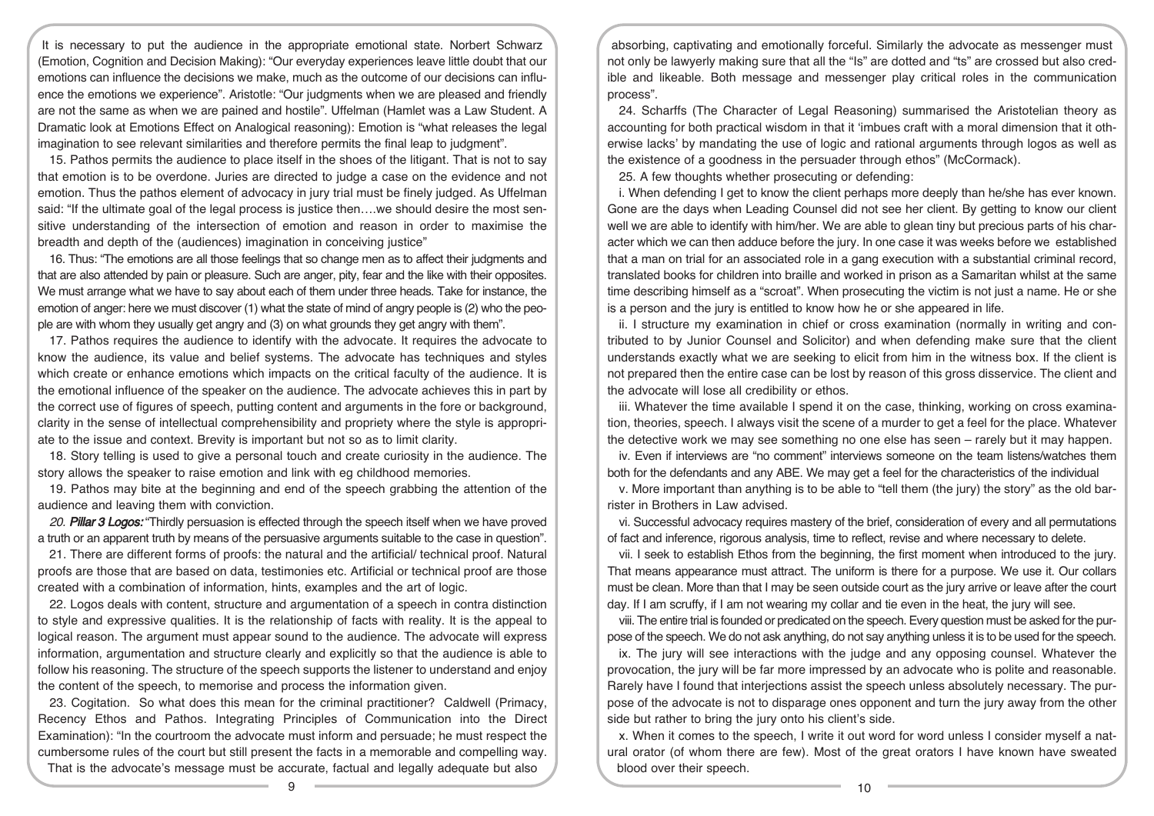It is necessary to put the audience in the appropriate emotional state. Norbert Schwarz (Emotion, Cognition and Decision Making): "Our everyday experiences leave little doubt that our emotions can influence the decisions we make, much as the outcome of our decisions can influence the emotions we experience". Aristotle: "Our judgments when we are pleased and friendly are not the same as when we are pained and hostile". Uffelman (Hamlet was a Law Student. A Dramatic look at Emotions Effect on Analogical reasoning): Emotion is "what releases the legal imagination to see relevant similarities and therefore permits the final leap to judgment".

15. Pathos permits the audience to place itself in the shoes of the litigant. That is not to say that emotion is to be overdone. Juries are directed to judge a case on the evidence and not emotion. Thus the pathos element of advocacy in jury trial must be finely judged. As Uffelman said: "If the ultimate goal of the legal process is justice then….we should desire the most sensitive understanding of the intersection of emotion and reason in order to maximise the breadth and depth of the (audiences) imagination in conceiving justice"

16. Thus: "The emotions are all those feelings that so change men as to affect their judgments and that are also attended by pain or pleasure. Such are anger, pity, fear and the like with their opposites. We must arrange what we have to say about each of them under three heads. Take for instance, the emotion of anger: here we must discover (1) what the state of mind of angry people is (2) who the people are with whom they usually get angry and (3) on what grounds they get angry with them".

17. Pathos requires the audience to identify with the advocate. It requires the advocate to know the audience, its value and belief systems. The advocate has techniques and styles which create or enhance emotions which impacts on the critical faculty of the audience. It is the emotional influence of the speaker on the audience. The advocate achieves this in part by the correct use of figures of speech, putting content and arguments in the fore or background, clarity in the sense of intellectual comprehensibility and propriety where the style is appropriate to the issue and context. Brevity is important but not so as to limit clarity.

18. Story telling is used to give a personal touch and create curiosity in the audience. The story allows the speaker to raise emotion and link with eg childhood memories.

19. Pathos may bite at the beginning and end of the speech grabbing the attention of the audience and leaving them with conviction.

20. Pillar 3 Logos: "Thirdly persuasion is effected through the speech itself when we have proved a truth or an apparent truth by means of the persuasive arguments suitable to the case in question".

21. There are different forms of proofs: the natural and the artificial/ technical proof. Natural proofs are those that are based on data, testimonies etc. Artificial or technical proof are those created with a combination of information, hints, examples and the art of logic.

22. Logos deals with content, structure and argumentation of a speech in contra distinction to style and expressive qualities. It is the relationship of facts with reality. It is the appeal to logical reason. The argument must appear sound to the audience. The advocate will express information, argumentation and structure clearly and explicitly so that the audience is able to follow his reasoning. The structure of the speech supports the listener to understand and enjoy the content of the speech, to memorise and process the information given.

23. Cogitation. So what does this mean for the criminal practitioner? Caldwell (Primacy, Recency Ethos and Pathos. Integrating Principles of Communication into the Direct Examination): "In the courtroom the advocate must inform and persuade; he must respect the cumbersome rules of the court but still present the facts in a memorable and compelling way. That is the advocate's message must be accurate, factual and legally adequate but also

absorbing, captivating and emotionally forceful. Similarly the advocate as messenger must not only be lawyerly making sure that all the "Is" are dotted and "ts" are crossed but also credible and likeable. Both message and messenger play critical roles in the communication process".

24. Scharffs (The Character of Legal Reasoning) summarised the Aristotelian theory as accounting for both practical wisdom in that it 'imbues craft with a moral dimension that it otherwise lacks' by mandating the use of logic and rational arguments through logos as well as the existence of a goodness in the persuader through ethos" (McCormack).

25. A few thoughts whether prosecuting or defending:

i. When defending I get to know the client perhaps more deeply than he/she has ever known. Gone are the days when Leading Counsel did not see her client. By getting to know our client well we are able to identify with him/her. We are able to glean tiny but precious parts of his character which we can then adduce before the jury. In one case it was weeks before we established that a man on trial for an associated role in a gang execution with a substantial criminal record, translated books for children into braille and worked in prison as a Samaritan whilst at the same time describing himself as a "scroat". When prosecuting the victim is not just a name. He or she is a person and the jury is entitled to know how he or she appeared in life.

ii. I structure my examination in chief or cross examination (normally in writing and contributed to by Junior Counsel and Solicitor) and when defending make sure that the client understands exactly what we are seeking to elicit from him in the witness box. If the client is not prepared then the entire case can be lost by reason of this gross disservice. The client and the advocate will lose all credibility or ethos.

iii. Whatever the time available I spend it on the case, thinking, working on cross examination, theories, speech. I always visit the scene of a murder to get a feel for the place. Whatever the detective work we may see something no one else has seen – rarely but it may happen.

iv. Even if interviews are "no comment" interviews someone on the team listens/watches them both for the defendants and any ABE. We may get a feel for the characteristics of the individual

v. More important than anything is to be able to "tell them (the jury) the story" as the old barrister in Brothers in Law advised.

vi. Successful advocacy requires mastery of the brief, consideration of every and all permutations of fact and inference, rigorous analysis, time to reflect, revise and where necessary to delete.

vii. I seek to establish Ethos from the beginning, the first moment when introduced to the jury. That means appearance must attract. The uniform is there for a purpose. We use it. Our collars must be clean. More than that I may be seen outside court as the jury arrive or leave after the court day. If I am scruffy, if I am not wearing my collar and tie even in the heat, the jury will see.

viii. The entire trial is founded or predicated on the speech. Every question must be asked for the purpose of the speech. We do not ask anything, do not say anything unless it is to be used for the speech.

ix. The jury will see interactions with the judge and any opposing counsel. Whatever the provocation, the jury will be far more impressed by an advocate who is polite and reasonable. Rarely have I found that interjections assist the speech unless absolutely necessary. The purpose of the advocate is not to disparage ones opponent and turn the jury away from the other side but rather to bring the jury onto his client's side.

x. When it comes to the speech, I write it out word for word unless I consider myself a natural orator (of whom there are few). Most of the great orators I have known have sweated blood over their speech.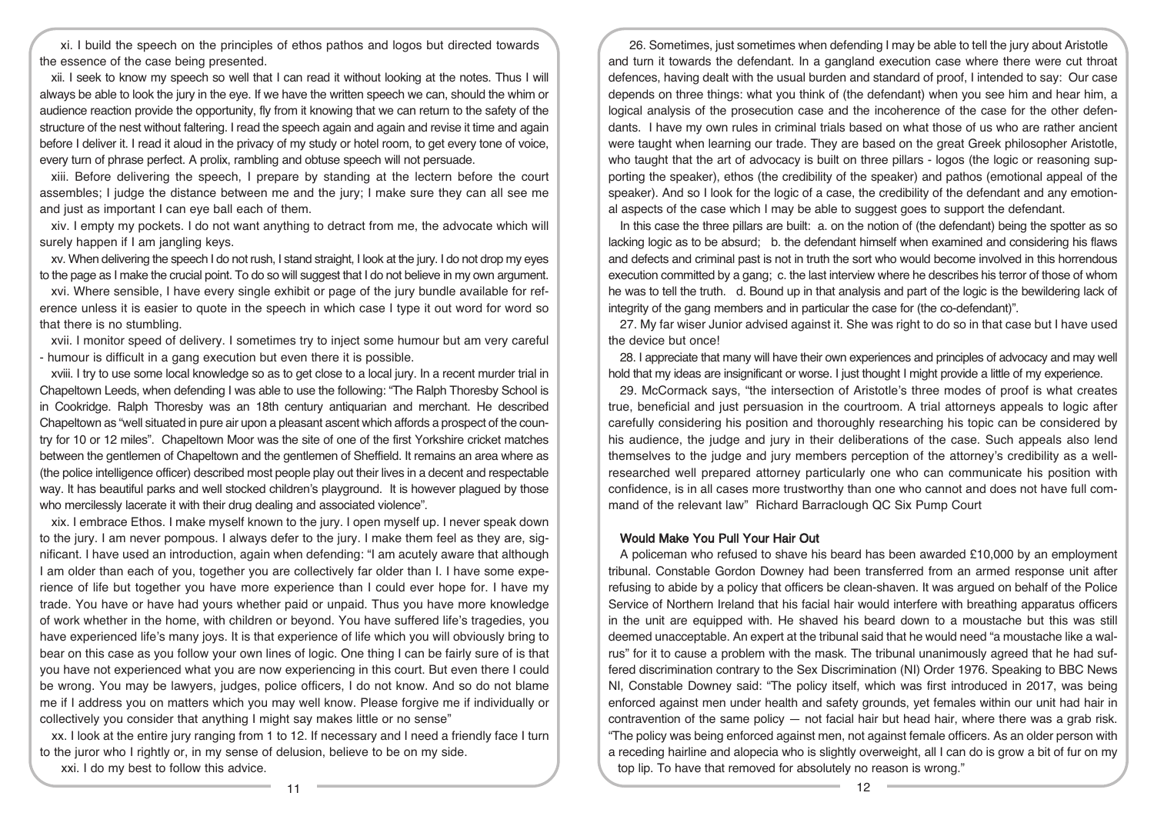xi. I build the speech on the principles of ethos pathos and logos but directed towards the essence of the case being presented.

xii. I seek to know my speech so well that I can read it without looking at the notes. Thus I will always be able to look the jury in the eye. If we have the written speech we can, should the whim or audience reaction provide the opportunity, fly from it knowing that we can return to the safety of the structure of the nest without faltering. I read the speech again and again and revise it time and again before I deliver it. I read it aloud in the privacy of my study or hotel room, to get every tone of voice, every turn of phrase perfect. A prolix, rambling and obtuse speech will not persuade.

xiii. Before delivering the speech, I prepare by standing at the lectern before the court assembles; I judge the distance between me and the jury; I make sure they can all see me and just as important I can eye ball each of them.

xiv. I empty my pockets. I do not want anything to detract from me, the advocate which will surely happen if I am jangling keys.

xv. When delivering the speech I do not rush, I stand straight, I look at the jury. I do not drop my eyes to the page as I make the crucial point. To do so will suggest that I do not believe in my own argument.

xvi. Where sensible, I have every single exhibit or page of the jury bundle available for reference unless it is easier to quote in the speech in which case I type it out word for word so that there is no stumbling.

xvii. I monitor speed of delivery. I sometimes try to inject some humour but am very careful - humour is difficult in a gang execution but even there it is possible.

xviii. I try to use some local knowledge so as to get close to a local jury. In a recent murder trial in Chapeltown Leeds, when defending I was able to use the following: "The Ralph Thoresby School is in Cookridge. Ralph Thoresby was an 18th century antiquarian and merchant. He described Chapeltown as "well situated in pure air upon a pleasant ascent which affords a prospect of the country for 10 or 12 miles". Chapeltown Moor was the site of one of the first Yorkshire cricket matches between the gentlemen of Chapeltown and the gentlemen of Sheffield. It remains an area where as (the police intelligence officer) described most people play out their lives in a decent and respectable way. It has beautiful parks and well stocked children's playground. It is however plagued by those who mercilessly lacerate it with their drug dealing and associated violence".

xix. I embrace Ethos. I make myself known to the jury. I open myself up. I never speak down to the jury. I am never pompous. I always defer to the jury. I make them feel as they are, significant. I have used an introduction, again when defending: "I am acutely aware that although I am older than each of you, together you are collectively far older than I. I have some experience of life but together you have more experience than I could ever hope for. I have my trade. You have or have had yours whether paid or unpaid. Thus you have more knowledge of work whether in the home, with children or beyond. You have suffered life's tragedies, you have experienced life's many joys. It is that experience of life which you will obviously bring to bear on this case as you follow your own lines of logic. One thing I can be fairly sure of is that you have not experienced what you are now experiencing in this court. But even there I could be wrong. You may be lawyers, judges, police officers, I do not know. And so do not blame me if I address you on matters which you may well know. Please forgive me if individually or collectively you consider that anything I might say makes little or no sense"

xx. I look at the entire jury ranging from 1 to 12. If necessary and I need a friendly face I turn to the juror who I rightly or, in my sense of delusion, believe to be on my side.

xxi. I do my best to follow this advice.

26. Sometimes, just sometimes when defending I may be able to tell the jury about Aristotle and turn it towards the defendant. In a gangland execution case where there were cut throat defences, having dealt with the usual burden and standard of proof, I intended to say: Our case depends on three things: what you think of (the defendant) when you see him and hear him, a logical analysis of the prosecution case and the incoherence of the case for the other defendants. I have my own rules in criminal trials based on what those of us who are rather ancient were taught when learning our trade. They are based on the great Greek philosopher Aristotle, who taught that the art of advocacy is built on three pillars - logos (the logic or reasoning supporting the speaker), ethos (the credibility of the speaker) and pathos (emotional appeal of the speaker). And so I look for the logic of a case, the credibility of the defendant and any emotional aspects of the case which I may be able to suggest goes to support the defendant.

In this case the three pillars are built: a. on the notion of (the defendant) being the spotter as so lacking logic as to be absurd; b. the defendant himself when examined and considering his flaws and defects and criminal past is not in truth the sort who would become involved in this horrendous execution committed by a gang; c. the last interview where he describes his terror of those of whom he was to tell the truth. d. Bound up in that analysis and part of the logic is the bewildering lack of integrity of the gang members and in particular the case for (the co-defendant)".

27. My far wiser Junior advised against it. She was right to do so in that case but I have used the device but once!

28. I appreciate that many will have their own experiences and principles of advocacy and may well hold that my ideas are insignificant or worse. I just thought I might provide a little of my experience.

29. McCormack says, "the intersection of Aristotle's three modes of proof is what creates true, beneficial and just persuasion in the courtroom. A trial attorneys appeals to logic after carefully considering his position and thoroughly researching his topic can be considered by his audience, the judge and jury in their deliberations of the case. Such appeals also lend themselves to the judge and jury members perception of the attorney's credibility as a wellresearched well prepared attorney particularly one who can communicate his position with confidence, is in all cases more trustworthy than one who cannot and does not have full command of the relevant law" Richard Barraclough QC Six Pump Court

### Would Make You Pull Your Hair Out

A policeman who refused to shave his beard has been awarded £10,000 by an employment tribunal. Constable Gordon Downey had been transferred from an armed response unit after refusing to abide by a policy that officers be clean-shaven. It was argued on behalf of the Police Service of Northern Ireland that his facial hair would interfere with breathing apparatus officers in the unit are equipped with. He shaved his beard down to a moustache but this was still deemed unacceptable. An expert at the tribunal said that he would need "a moustache like a walrus" for it to cause a problem with the mask. The tribunal unanimously agreed that he had suffered discrimination contrary to the Sex Discrimination (NI) Order 1976. Speaking to BBC News NI, Constable Downey said: "The policy itself, which was first introduced in 2017, was being enforced against men under health and safety grounds, yet females within our unit had hair in contravention of the same policy  $-$  not facial hair but head hair, where there was a grab risk. "The policy was being enforced against men, not against female officers. As an older person with a receding hairline and alopecia who is slightly overweight, all I can do is grow a bit of fur on my top lip. To have that removed for absolutely no reason is wrong."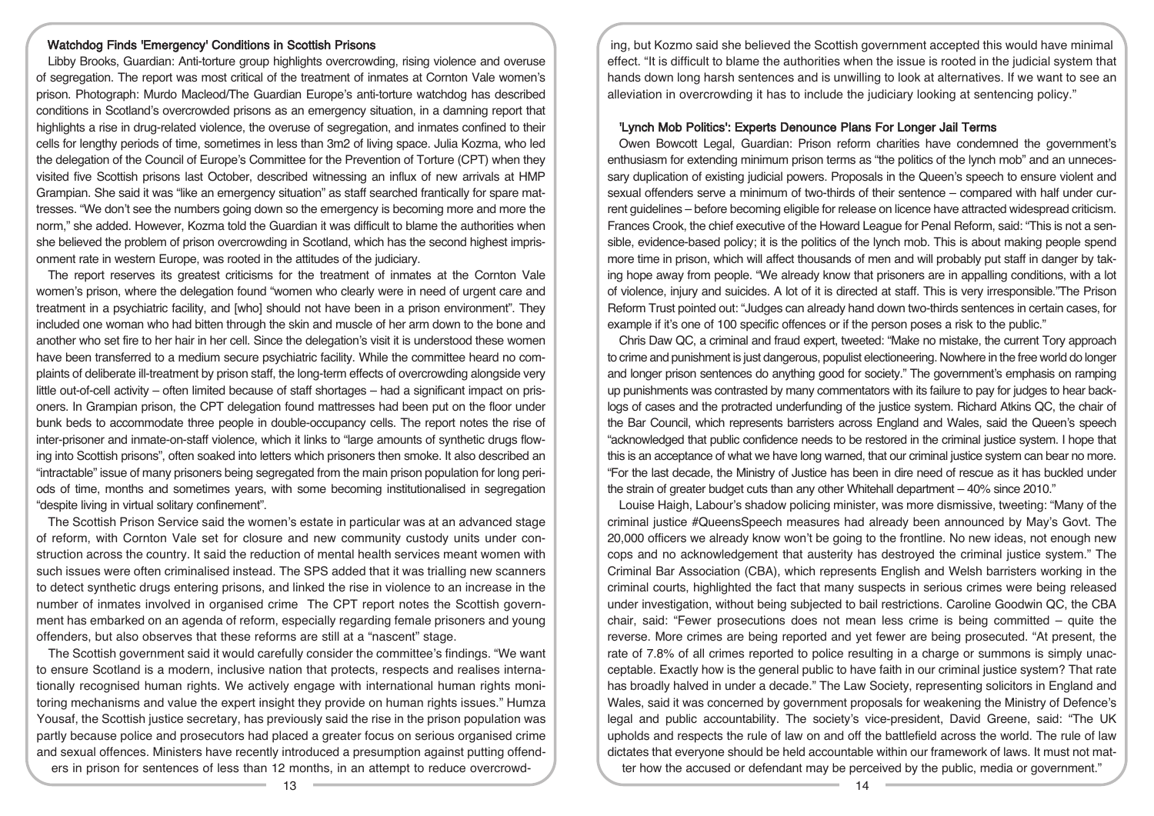# Watchdog Finds 'Emergency' Conditions in Scottish Prisons

Libby Brooks, Guardian: Anti-torture group highlights overcrowding, rising violence and overuse of segregation. The report was most critical of the treatment of inmates at Cornton Vale women's prison. Photograph: Murdo Macleod/The Guardian Europe's anti-torture watchdog has described conditions in Scotland's overcrowded prisons as an emergency situation, in a damning report that highlights a rise in drug-related violence, the overuse of segregation, and inmates confined to their cells for lengthy periods of time, sometimes in less than 3m2 of living space. Julia Kozma, who led the delegation of the Council of Europe's Committee for the Prevention of Torture (CPT) when they visited five Scottish prisons last October, described witnessing an influx of new arrivals at HMP Grampian. She said it was "like an emergency situation" as staff searched frantically for spare mattresses. "We don't see the numbers going down so the emergency is becoming more and more the norm," she added. However, Kozma told the Guardian it was difficult to blame the authorities when she believed the problem of prison overcrowding in Scotland, which has the second highest imprisonment rate in western Europe, was rooted in the attitudes of the judiciary.

The report reserves its greatest criticisms for the treatment of inmates at the Cornton Vale women's prison, where the delegation found "women who clearly were in need of urgent care and treatment in a psychiatric facility, and [who] should not have been in a prison environment". They included one woman who had bitten through the skin and muscle of her arm down to the bone and another who set fire to her hair in her cell. Since the delegation's visit it is understood these women have been transferred to a medium secure psychiatric facility. While the committee heard no complaints of deliberate ill-treatment by prison staff, the long-term effects of overcrowding alongside very little out-of-cell activity – often limited because of staff shortages – had a significant impact on prisoners. In Grampian prison, the CPT delegation found mattresses had been put on the floor under bunk beds to accommodate three people in double-occupancy cells. The report notes the rise of inter-prisoner and inmate-on-staff violence, which it links to "large amounts of synthetic drugs flowing into Scottish prisons", often soaked into letters which prisoners then smoke. It also described an "intractable" issue of many prisoners being segregated from the main prison population for long periods of time, months and sometimes years, with some becoming institutionalised in segregation "despite living in virtual solitary confinement".

The Scottish Prison Service said the women's estate in particular was at an advanced stage of reform, with Cornton Vale set for closure and new community custody units under construction across the country. It said the reduction of mental health services meant women with such issues were often criminalised instead. The SPS added that it was trialling new scanners to detect synthetic drugs entering prisons, and linked the rise in violence to an increase in the number of inmates involved in organised crime The CPT report notes the Scottish government has embarked on an agenda of reform, especially regarding female prisoners and young offenders, but also observes that these reforms are still at a "nascent" stage.

The Scottish government said it would carefully consider the committee's findings. "We want to ensure Scotland is a modern, inclusive nation that protects, respects and realises internationally recognised human rights. We actively engage with international human rights monitoring mechanisms and value the expert insight they provide on human rights issues." Humza Yousaf, the Scottish justice secretary, has previously said the rise in the prison population was partly because police and prosecutors had placed a greater focus on serious organised crime and sexual offences. Ministers have recently introduced a presumption against putting offenders in prison for sentences of less than 12 months, in an attempt to reduce overcrowd-

ing, but Kozmo said she believed the Scottish government accepted this would have minimal effect. "It is difficult to blame the authorities when the issue is rooted in the judicial system that hands down long harsh sentences and is unwilling to look at alternatives. If we want to see an alleviation in overcrowding it has to include the judiciary looking at sentencing policy."

## 'Lynch Mob Politics': Experts Denounce Plans For Longer Jail Terms

Owen Bowcott Legal, Guardian: Prison reform charities have condemned the government's enthusiasm for extending minimum prison terms as "the politics of the lynch mob" and an unnecessary duplication of existing judicial powers. Proposals in the Queen's speech to ensure violent and sexual offenders serve a minimum of two-thirds of their sentence – compared with half under current guidelines – before becoming eligible for release on licence have attracted widespread criticism. Frances Crook, the chief executive of the Howard League for Penal Reform, said: "This is not a sensible, evidence-based policy; it is the politics of the lynch mob. This is about making people spend more time in prison, which will affect thousands of men and will probably put staff in danger by taking hope away from people. "We already know that prisoners are in appalling conditions, with a lot of violence, injury and suicides. A lot of it is directed at staff. This is very irresponsible."The Prison Reform Trust pointed out: "Judges can already hand down two-thirds sentences in certain cases, for example if it's one of 100 specific offences or if the person poses a risk to the public."

Chris Daw QC, a criminal and fraud expert, tweeted: "Make no mistake, the current Tory approach to crime and punishment is just dangerous, populist electioneering. Nowhere in the free world do longer and longer prison sentences do anything good for society." The government's emphasis on ramping up punishments was contrasted by many commentators with its failure to pay for judges to hear backlogs of cases and the protracted underfunding of the justice system. Richard Atkins QC, the chair of the Bar Council, which represents barristers across England and Wales, said the Queen's speech "acknowledged that public confidence needs to be restored in the criminal justice system. I hope that this is an acceptance of what we have long warned, that our criminal justice system can bear no more. "For the last decade, the Ministry of Justice has been in dire need of rescue as it has buckled under the strain of greater budget cuts than any other Whitehall department – 40% since 2010."

Louise Haigh, Labour's shadow policing minister, was more dismissive, tweeting: "Many of the criminal justice #QueensSpeech measures had already been announced by May's Govt. The 20,000 officers we already know won't be going to the frontline. No new ideas, not enough new cops and no acknowledgement that austerity has destroyed the criminal justice system." The Criminal Bar Association (CBA), which represents English and Welsh barristers working in the criminal courts, highlighted the fact that many suspects in serious crimes were being released under investigation, without being subjected to bail restrictions. Caroline Goodwin QC, the CBA chair, said: "Fewer prosecutions does not mean less crime is being committed – quite the reverse. More crimes are being reported and yet fewer are being prosecuted. "At present, the rate of 7.8% of all crimes reported to police resulting in a charge or summons is simply unacceptable. Exactly how is the general public to have faith in our criminal justice system? That rate has broadly halved in under a decade." The Law Society, representing solicitors in England and Wales, said it was concerned by government proposals for weakening the Ministry of Defence's legal and public accountability. The society's vice-president, David Greene, said: "The UK upholds and respects the rule of law on and off the battlefield across the world. The rule of law dictates that everyone should be held accountable within our framework of laws. It must not matter how the accused or defendant may be perceived by the public, media or government."